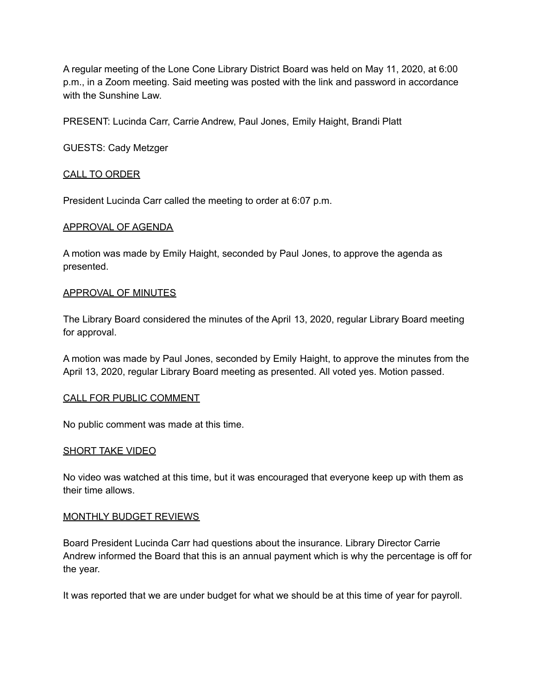A regular meeting of the Lone Cone Library District Board was held on May 11, 2020, at 6:00 p.m., in a Zoom meeting. Said meeting was posted with the link and password in accordance with the Sunshine Law.

PRESENT: Lucinda Carr, Carrie Andrew, Paul Jones, Emily Haight, Brandi Platt

GUESTS: Cady Metzger

### CALL TO ORDER

President Lucinda Carr called the meeting to order at 6:07 p.m.

#### APPROVAL OF AGENDA

A motion was made by Emily Haight, seconded by Paul Jones, to approve the agenda as presented.

#### APPROVAL OF MINUTES

The Library Board considered the minutes of the April 13, 2020, regular Library Board meeting for approval.

A motion was made by Paul Jones, seconded by Emily Haight, to approve the minutes from the April 13, 2020, regular Library Board meeting as presented. All voted yes. Motion passed.

#### CALL FOR PUBLIC COMMENT

No public comment was made at this time.

#### SHORT TAKE VIDEO

No video was watched at this time, but it was encouraged that everyone keep up with them as their time allows.

#### MONTHLY BUDGET REVIEWS

Board President Lucinda Carr had questions about the insurance. Library Director Carrie Andrew informed the Board that this is an annual payment which is why the percentage is off for the year.

It was reported that we are under budget for what we should be at this time of year for payroll.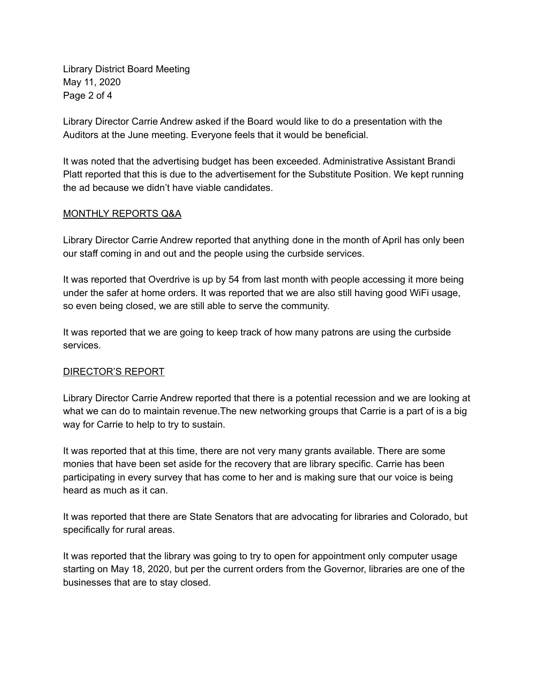Library District Board Meeting May 11, 2020 Page 2 of 4

Library Director Carrie Andrew asked if the Board would like to do a presentation with the Auditors at the June meeting. Everyone feels that it would be beneficial.

It was noted that the advertising budget has been exceeded. Administrative Assistant Brandi Platt reported that this is due to the advertisement for the Substitute Position. We kept running the ad because we didn't have viable candidates.

## MONTHLY REPORTS Q&A

Library Director Carrie Andrew reported that anything done in the month of April has only been our staff coming in and out and the people using the curbside services.

It was reported that Overdrive is up by 54 from last month with people accessing it more being under the safer at home orders. It was reported that we are also still having good WiFi usage, so even being closed, we are still able to serve the community.

It was reported that we are going to keep track of how many patrons are using the curbside services.

# DIRECTOR'S REPORT

Library Director Carrie Andrew reported that there is a potential recession and we are looking at what we can do to maintain revenue.The new networking groups that Carrie is a part of is a big way for Carrie to help to try to sustain.

It was reported that at this time, there are not very many grants available. There are some monies that have been set aside for the recovery that are library specific. Carrie has been participating in every survey that has come to her and is making sure that our voice is being heard as much as it can.

It was reported that there are State Senators that are advocating for libraries and Colorado, but specifically for rural areas.

It was reported that the library was going to try to open for appointment only computer usage starting on May 18, 2020, but per the current orders from the Governor, libraries are one of the businesses that are to stay closed.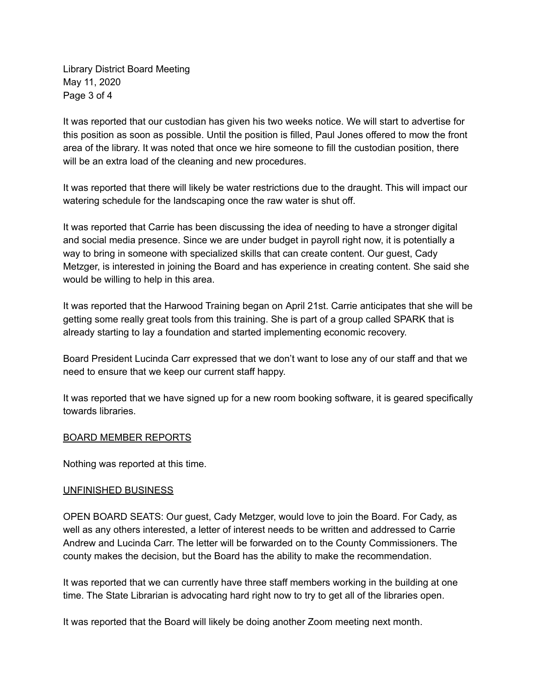Library District Board Meeting May 11, 2020 Page 3 of 4

It was reported that our custodian has given his two weeks notice. We will start to advertise for this position as soon as possible. Until the position is filled, Paul Jones offered to mow the front area of the library. It was noted that once we hire someone to fill the custodian position, there will be an extra load of the cleaning and new procedures.

It was reported that there will likely be water restrictions due to the draught. This will impact our watering schedule for the landscaping once the raw water is shut off.

It was reported that Carrie has been discussing the idea of needing to have a stronger digital and social media presence. Since we are under budget in payroll right now, it is potentially a way to bring in someone with specialized skills that can create content. Our guest, Cady Metzger, is interested in joining the Board and has experience in creating content. She said she would be willing to help in this area.

It was reported that the Harwood Training began on April 21st. Carrie anticipates that she will be getting some really great tools from this training. She is part of a group called SPARK that is already starting to lay a foundation and started implementing economic recovery.

Board President Lucinda Carr expressed that we don't want to lose any of our staff and that we need to ensure that we keep our current staff happy.

It was reported that we have signed up for a new room booking software, it is geared specifically towards libraries.

# BOARD MEMBER REPORTS

Nothing was reported at this time.

### UNFINISHED BUSINESS

OPEN BOARD SEATS: Our guest, Cady Metzger, would love to join the Board. For Cady, as well as any others interested, a letter of interest needs to be written and addressed to Carrie Andrew and Lucinda Carr. The letter will be forwarded on to the County Commissioners. The county makes the decision, but the Board has the ability to make the recommendation.

It was reported that we can currently have three staff members working in the building at one time. The State Librarian is advocating hard right now to try to get all of the libraries open.

It was reported that the Board will likely be doing another Zoom meeting next month.